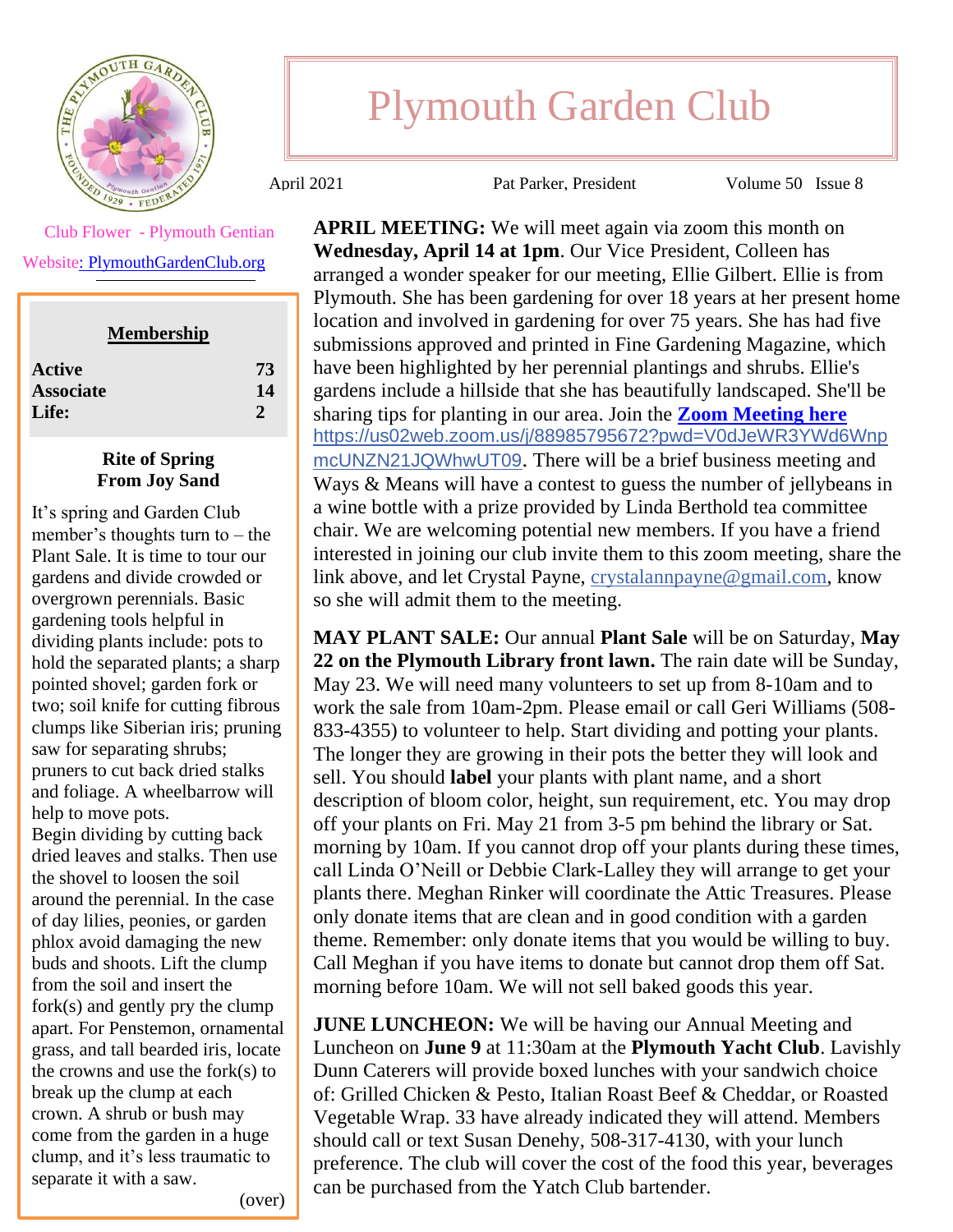

Plymouth Garden Club

April 2021 Pat Parker, President Volume 50 Issue 8

**APRIL MEETING:** We will meet again via zoom this month on **Wednesday, April 14 at 1pm**. Our Vice President, Colleen has arranged a wonder speaker for our meeting, Ellie Gilbert. Ellie is from Plymouth. She has been gardening for over 18 years at her present home location and involved in gardening for over 75 years. She has had five submissions approved and printed in Fine Gardening Magazine, which have been highlighted by her perennial plantings and shrubs. Ellie's gardens include a hillside that she has beautifully landscaped. She'll be sharing tips for planting in our area. Join the **[Zoom Meeting](https://us02web.zoom.us/j/88985795672?pwd=V0dJeWR3YWd6WnpmcUNZN21JQWhwUT09) here** [https://us02web.zoom.us/j/88985795672?pwd=V0dJeWR3YWd6Wnp](https://us02web.zoom.us/j/88985795672?pwd=V0dJeWR3YWd6WnpmcUNZN21JQWhwUT09) [mcUNZN21JQWhwUT09](https://us02web.zoom.us/j/88985795672?pwd=V0dJeWR3YWd6WnpmcUNZN21JQWhwUT09). There will be a brief business meeting and Ways & Means will have a contest to guess the number of jellybeans in a wine bottle with a prize provided by Linda Berthold tea committee chair. We are welcoming potential new members. If you have a friend interested in joining our club invite them to this zoom meeting, share the link above, and let Crystal Payne, [crystalannpayne@gmail.com,](mailto:crystalannpayne@gmail.com) know so she will admit them to the meeting.

**MAY PLANT SALE:** Our annual **Plant Sale** will be on Saturday, **May 22 on the Plymouth Library front lawn.** The rain date will be Sunday, May 23. We will need many volunteers to set up from 8-10am and to work the sale from 10am-2pm. Please email or call Geri Williams (508- 833-4355) to volunteer to help. Start dividing and potting your plants. The longer they are growing in their pots the better they will look and sell. You should **label** your plants with plant name, and a short description of bloom color, height, sun requirement, etc. You may drop off your plants on Fri. May 21 from 3-5 pm behind the library or Sat. morning by 10am. If you cannot drop off your plants during these times, call Linda O'Neill or Debbie Clark-Lalley they will arrange to get your plants there. Meghan Rinker will coordinate the Attic Treasures. Please only donate items that are clean and in good condition with a garden theme. Remember: only donate items that you would be willing to buy. Call Meghan if you have items to donate but cannot drop them off Sat. morning before 10am. We will not sell baked goods this year.

**JUNE LUNCHEON:** We will be having our Annual Meeting and Luncheon on **June 9** at 11:30am at the **Plymouth Yacht Club**. Lavishly Dunn Caterers will provide boxed lunches with your sandwich choice of: Grilled Chicken & Pesto, Italian Roast Beef & Cheddar, or Roasted Vegetable Wrap. 33 have already indicated they will attend. Members should call or text Susan Denehy, 508-317-4130, with your lunch preference. The club will cover the cost of the food this year, beverages can be purchased from the Yatch Club bartender.

Club Flower - Plymouth Gentian

Websit[e: PlymouthGardenClub.org](http://www.plymouthgardenclub.org/)

| <b>Membership</b> |    |
|-------------------|----|
| <b>Active</b>     | 73 |
| <b>Associate</b>  | 14 |
| Life:             | 2  |
|                   |    |

## **Rite of Spring From Joy Sand**

It's spring and Garden Club member's thoughts turn to – the Plant Sale. It is time to tour our gardens and divide crowded or overgrown perennials. Basic gardening tools helpful in dividing plants include: pots to hold the separated plants; a sharp pointed shovel; garden fork or two; soil knife for cutting fibrous clumps like Siberian iris; pruning saw for separating shrubs; pruners to cut back dried stalks and foliage. A wheelbarrow will help to move pots. Begin dividing by cutting back

dried leaves and stalks. Then use the shovel to loosen the soil around the perennial. In the case of day lilies, peonies, or garden phlox avoid damaging the new buds and shoots. Lift the clump from the soil and insert the fork(s) and gently pry the clump apart. For Penstemon, ornamental grass, and tall bearded iris, locate the crowns and use the fork(s) to break up the clump at each crown. A shrub or bush may come from the garden in a huge clump, and it's less traumatic to separate it with a saw.

**SEPTEMBER FLOWER** 

(over)